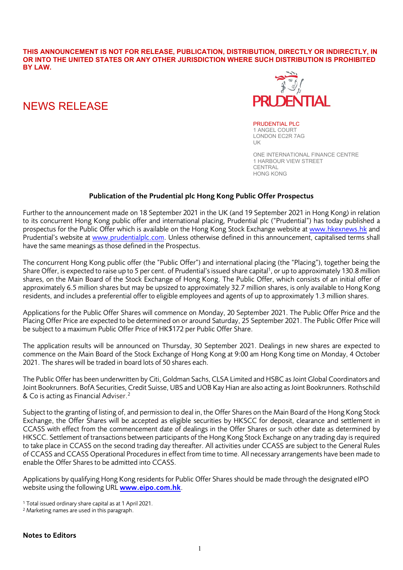**THIS ANNOUNCEMENT IS NOT FOR RELEASE, PUBLICATION, DISTRIBUTION, DIRECTLY OR INDIRECTLY, IN OR INTO THE UNITED STATES OR ANY OTHER JURISDICTION WHERE SUCH DISTRIBUTION IS PROHIBITED BY LAW.**

# NEWS RELEASE



PRUDENTIAL PLC 1 ANGEL COURT LONDON EC2R 7AG UK

ONE INTERNATIONAL FINANCE CENTRE 1 HARBOUR VIEW STREET CENTRAL HONG KONG

## Publication of the Prudential plc Hong Kong Public Offer Prospectus

Further to the announcement made on 18 September 2021 in the UK (and 19 September 2021 in Hong Kong) in relation to its concurrent Hong Kong public offer and international placing, Prudential plc ("Prudential") has today published a prospectus for the Public Offer which is available on the Hong Kong Stock Exchange website at [www.hkexnews.hk](http://www.hkexnews.hk/) and Prudential's website at [www.prudentialplc.com.](http://www.prudentialplc.com/) Unless otherwise defined in this announcement, capitalised terms shall have the same meanings as those defined in the Prospectus.

The concurrent Hong Kong public offer (the "Public Offer") and international placing (the "Placing"), together being the Share Offer, is expected to raise up to 5 per cent. of Prudential's issued share capital<sup>1</sup>, or up to approximately 130.8 million shares, on the Main Board of the Stock Exchange of Hong Kong. The Public Offer, which consists of an initial offer of approximately 6.5 million shares but may be upsized to approximately 32.7 million shares, is only available to Hong Kong residents, and includes a preferential offer to eligible employees and agents of up to approximately 1.3 million shares.

Applications for the Public Offer Shares will commence on Monday, 20 September 2021. The Public Offer Price and the Placing Offer Price are expected to be determined on or around Saturday, 25 September 2021. The Public Offer Price will be subject to a maximum Public Offer Price of HK\$172 per Public Offer Share.

The application results will be announced on Thursday, 30 September 2021. Dealings in new shares are expected to commence on the Main Board of the Stock Exchange of Hong Kong at 9:00 am Hong Kong time on Monday, 4 October 2021. The shares will be traded in board lots of 50 shares each.

The Public Offer has been underwritten by Citi, Goldman Sachs, CLSA Limited and HSBC as Joint Global Coordinators and Joint Bookrunners. BofA Securities, Credit Suisse, UBS and UOB Kay Hian are also acting as Joint Bookrunners. Rothschild & Co is acting as Financial Adviser.<sup>2</sup>

Subject to the granting of listing of, and permission to deal in, the Offer Shares on the Main Board of the Hong Kong Stock Exchange, the Offer Shares will be accepted as eligible securities by HKSCC for deposit, clearance and settlement in CCASS with effect from the commencement date of dealings in the Offer Shares or such other date as determined by HKSCC. Settlement of transactions between participants of the Hong Kong Stock Exchange on any trading day is required to take place in CCASS on the second trading day thereafter. All activities under CCASS are subject to the General Rules of CCASS and CCASS Operational Procedures in effect from time to time. All necessary arrangements have been made to enable the Offer Shares to be admitted into CCASS.

Applications by qualifying Hong Kong residents for Public Offer Shares should be made through the designated eIPO website using the following URL [www.eipo.com.hk](http://www.eipo.com.hk/).

<sup>2</sup> Marketing names are used in this paragraph.

<sup>1</sup> Total issued ordinary share capital as at 1 April 2021.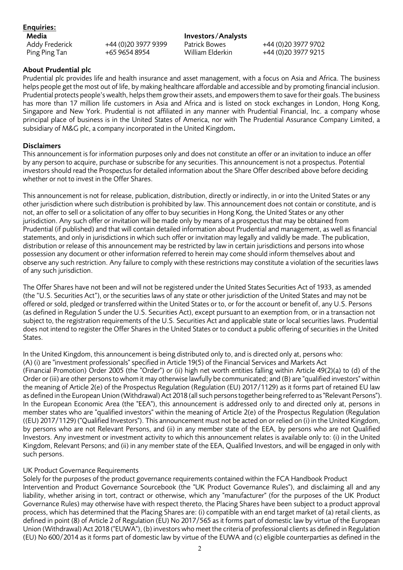Enquiries:

Addy Frederick +44 (0)20 3977 9399 Patrick Bowes +44 (0)20 3977 9702<br>Ping Ping Tan +65 9654 8954 William Elderkin +44 (0)20 3977 9215

**Media** Investors/Analysts<br>Addy Frederick +44 (0)20 3977 9399 Patrick Bowes

+44 (0)20 3977 9215

## About Prudential plc

Prudential plc provides life and health insurance and asset management, with a focus on Asia and Africa. The business helps people get the most out of life, by making healthcare affordable and accessible and by promoting financial inclusion. Prudential protects people's wealth, helps them grow their assets, and empowers them to save for their goals. The business has more than 17 million life customers in Asia and Africa and is listed on stock exchanges in London, Hong Kong, Singapore and New York. Prudential is not affiliated in any manner with Prudential Financial, Inc. a company whose principal place of business is in the United States of America, nor with The Prudential Assurance Company Limited, a subsidiary of M&G plc, a company incorporated in the United Kingdom.

#### Disclaimers

This announcement is for information purposes only and does not constitute an offer or an invitation to induce an offer by any person to acquire, purchase or subscribe for any securities. This announcement is not a prospectus. Potential investors should read the Prospectus for detailed information about the Share Offer described above before deciding whether or not to invest in the Offer Shares.

This announcement is not for release, publication, distribution, directly or indirectly, in or into the United States or any other jurisdiction where such distribution is prohibited by law. This announcement does not contain or constitute, and is not, an offer to sell or a solicitation of any offer to buy securities in Hong Kong, the United States or any other jurisdiction. Any such offer or invitation will be made only by means of a prospectus that may be obtained from Prudential (if published) and that will contain detailed information about Prudential and management, as well as financial statements, and only in jurisdictions in which such offer or invitation may legally and validly be made. The publication, distribution or release of this announcement may be restricted by law in certain jurisdictions and persons into whose possession any document or other information referred to herein may come should inform themselves about and observe any such restriction. Any failure to comply with these restrictions may constitute a violation of the securities laws of any such jurisdiction.

The Offer Shares have not been and will not be registered under the United States Securities Act of 1933, as amended (the "U.S. Securities Act"), or the securities laws of any state or other jurisdiction of the United States and may not be offered or sold, pledged or transferred within the United States or to, or for the account or benefit of, any U.S. Persons (as defined in Regulation S under the U.S. Securities Act), except pursuant to an exemption from, or in a transaction not subject to, the registration requirements of the U.S. Securities Act and applicable state or local securities laws. Prudential does not intend to register the Offer Shares in the United States or to conduct a public offering of securities in the United States.

In the United Kingdom, this announcement is being distributed only to, and is directed only at, persons who: (A) (i) are "investment professionals" specified in Article 19(5) of the Financial Services and Markets Act (Financial Promotion) Order 2005 (the "Order") or (ii) high net worth entities falling within Article 49(2)(a) to (d) of the Order or (iii) are other persons to whom it may otherwise lawfully be communicated; and (B) are "qualified investors" within the meaning of Article 2(e) of the Prospectus Regulation (Regulation (EU) 2017/1129) as it forms part of retained EU law as defined in the European Union (Withdrawal) Act 2018 (all such persons together being referred to as "Relevant Persons"). In the European Economic Area (the "EEA"), this announcement is addressed only to and directed only at, persons in member states who are "qualified investors" within the meaning of Article 2(e) of the Prospectus Regulation (Regulation ((EU) 2017/1129) ("Qualified Investors"). This announcement must not be acted on or relied on (i) in the United Kingdom, by persons who are not Relevant Persons, and (ii) in any member state of the EEA, by persons who are not Qualified Investors. Any investment or investment activity to which this announcement relates is available only to: (i) in the United Kingdom, Relevant Persons; and (ii) in any member state of the EEA, Qualified Investors, and will be engaged in only with such persons.

#### UK Product Governance Requirements

Solely for the purposes of the product governance requirements contained within the FCA Handbook Product Intervention and Product Governance Sourcebook (the "UK Product Governance Rules"), and disclaiming all and any liability, whether arising in tort, contract or otherwise, which any "manufacturer" (for the purposes of the UK Product Governance Rules) may otherwise have with respect thereto, the Placing Shares have been subject to a product approval process, which has determined that the Placing Shares are: (i) compatible with an end target market of (a) retail clients, as defined in point (8) of Article 2 of Regulation (EU) No 2017/565 as it forms part of domestic law by virtue of the European Union (Withdrawal) Act 2018 ("EUWA"), (b) investors who meet the criteria of professional clients as defined in Regulation (EU) No 600/2014 as it forms part of domestic law by virtue of the EUWA and (c) eligible counterparties as defined in the